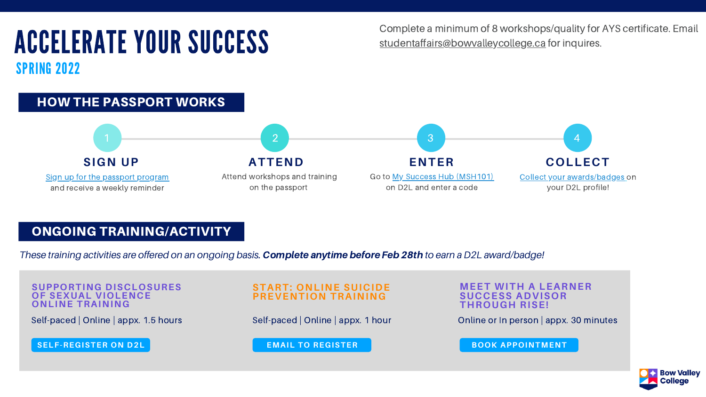Complete a minimum of 8 workshops/quality for AYS certificate. Email

## [studentaffairs@bowvalleycollege.ca](http://bowvalleycollege.ca/) for inquires. ACCELERATE YOUR SUCCESS SPRING 2022



### ONGOING TRAINING/ACTIVITY

*These training activities are offered on an ongoing basis.* Complete anytimebefore Feb28th *to earn a D2L award/badge!*

Self-paced | Online | appx. 1.5 hours

**SUPPORTING DISCLOSURES OF SEXUAL VIOLENCE ONLINE TRAINING**

Self-paced | Online | appx. 1 hour

### **START: ONLINE SUICIDE PREVENTION TRAINING**

### **MEET WITH A LEARNER SUCCESS ADVISOR THROUGH RISE!**

Online or In person | appx. 30 minutes



**SELF-REGISTER ON D2L EMAIL TO REGISTER BOOK APPOINTMENT**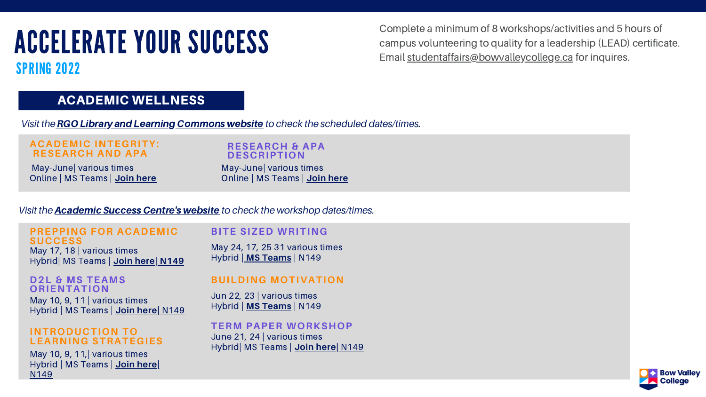## ACCELERATE YOUR SUCCESS SPRING 2022

### ACADEMIC WELLNESS

Complete a minimum of 8 workshops/activities and 5 hours of campus volunteering to quality for a leadership (LEAD) certificate. Email s[tudentaffairs@bowvalleycollege.ca](http://bowvalleycollege.ca/) for inquires.

*Visit the*RGO Library andLearning Commons website *to check the scheduled dates/times.*

May-June| various times Online | MS Teams | **Join [here](https://teams.microsoft.com/l/meetup-join/19%3ameeting_MGU3NTU4MmUtZDEwYi00MWM2LTk1MzgtNWM1MjlmYTczZDgy%40thread.v2/0?context=%7b%22Tid%22%3a%228f11c6f4-648e-4c0c-bb99-96e8408a8e2a%22%2c%22Oid%22%3a%2258b561b6-e722-4e31-baae-c772c6edad2b%22%7d)**

### **ACADEMIC INTEGRITY: RESEARCH AND APA**

### May 10, 9, 11 | various times Hybrid | MS Teams | **Join [here|](https://teams.microsoft.com/l/meetup-join/19%3ameeting_OTRiNDJiYjQtZTdmMi00YjEwLWI1NjktOTc1ZDgzNWVjNGU1%40thread.v2/0?context=%7b%22Tid%22%3a%228f11c6f4-648e-4c0c-bb99-96e8408a8e2a%22%2c%22Oid%22%3a%22a551dbda-567f-4e14-9550-8d299b782334%22%7d)** N149 **D2L & MS TEAMS ORIENTATION**

May-June| various times Online | MS Teams | **Join [here](https://teams.microsoft.com/l/meetup-join/19%3ameeting_MGU3NTU4MmUtZDEwYi00MWM2LTk1MzgtNWM1MjlmYTczZDgy%40thread.v2/0?context=%7b%22Tid%22%3a%228f11c6f4-648e-4c0c-bb99-96e8408a8e2a%22%2c%22Oid%22%3a%2258b561b6-e722-4e31-baae-c772c6edad2b%22%7d)**

### **RESEARCH & APA DESCRIPTION**

May 17, 18 | various times Hybrid| MS Teams | **Join [here](https://teams.microsoft.com/l/meetup-join/19%3ameeting_OTRiNDJiYjQtZTdmMi00YjEwLWI1NjktOTc1ZDgzNWVjNGU1%40thread.v2/0?context=%7b%22Tid%22%3a%228f11c6f4-648e-4c0c-bb99-96e8408a8e2a%22%2c%22Oid%22%3a%22a551dbda-567f-4e14-9550-8d299b782334%22%7d)| N149**

### June 21, 24 | various times Hybrid| MS Teams | **Join [here|](https://teams.microsoft.com/l/meetup-join/19%3ameeting_OTRiNDJiYjQtZTdmMi00YjEwLWI1NjktOTc1ZDgzNWVjNGU1%40thread.v2/0?context=%7b%22Tid%22%3a%228f11c6f4-648e-4c0c-bb99-96e8408a8e2a%22%2c%22Oid%22%3a%22a551dbda-567f-4e14-9550-8d299b782334%22%7d)** N149 **TERM PAPER WORKSHOP**



Jun 22, 23 | various times Hybrid | **MS [Teams](https://teams.microsoft.com/l/meetup-join/19%3ameeting_OTRiNDJiYjQtZTdmMi00YjEwLWI1NjktOTc1ZDgzNWVjNGU1%40thread.v2/0?context=%7b%22Tid%22%3a%228f11c6f4-648e-4c0c-bb99-96e8408a8e2a%22%2c%22Oid%22%3a%22a551dbda-567f-4e14-9550-8d299b782334%22%7d)** | N149

### **BUILDING MOTIVATION**

### *Visit the* Academic Success Centre's website *to check the workshop dates/times.*

May 10, 9, 11,| various times Hybrid | MS Teams | **Join [here|](https://teams.microsoft.com/l/meetup-join/19%3ameeting_OTRiNDJiYjQtZTdmMi00YjEwLWI1NjktOTc1ZDgzNWVjNGU1%40thread.v2/0?context=%7b%22Tid%22%3a%228f11c6f4-648e-4c0c-bb99-96e8408a8e2a%22%2c%22Oid%22%3a%22a551dbda-567f-4e14-9550-8d299b782334%22%7d)** N149

### **INTRODUCTION TO LEARNING STRATEGIES**

### **PREPPING FOR ACADEMIC SUCCESS**

May 24, 17, 25 31 various times Hybrid | **MS [Teams](https://teams.microsoft.com/l/meetup-join/19%3ameeting_OTRiNDJiYjQtZTdmMi00YjEwLWI1NjktOTc1ZDgzNWVjNGU1%40thread.v2/0?context=%7b%22Tid%22%3a%228f11c6f4-648e-4c0c-bb99-96e8408a8e2a%22%2c%22Oid%22%3a%22a551dbda-567f-4e14-9550-8d299b782334%22%7d)** | N149

### **BITE SIZED WRITING**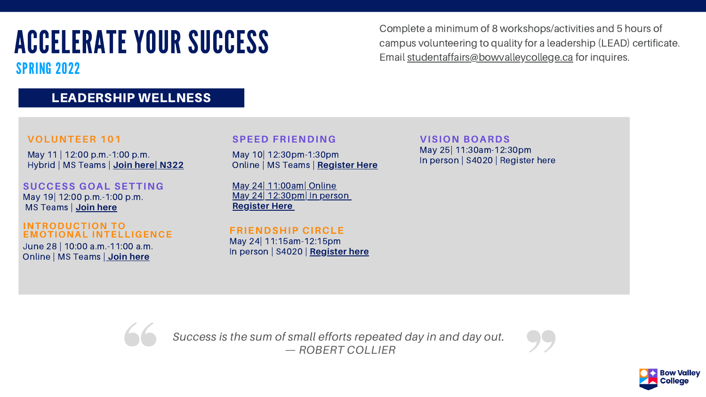## SPRING 2022

Complete a minimum of 8 workshops/activities and 5 hours of campus volunteering to quality for a leadership (LEAD) certificate. Email s[tudentaffairs@bowvalleycollege.ca](http://bowvalleycollege.ca/) for inquires.

### LEADERSHIP WELLNESS

May 11 | 12:00 p.m.-1:00 p.m. Hybrid | MS Teams | **Join [here|](https://teams.microsoft.com/dl/launcher/launcher.html?url=%2F_%23%2Fl%2Fmeetup-join%2F19%3Ameeting_ZGI0ZThlYjAtM2ZmOS00NjI0LTljMDUtMzA5MTY2ZTRjNGUx%40thread.v2%2F0%3Fcontext%3D%257b%2522Tid%2522%253a%25228f11c6f4-648e-4c0c-bb99-96e8408a8e2a%2522%252c%2522Oid%2522%253a%25221e3ab84c-d8b9-4ace-bfa1-2dd1fb5f843a%2522%257d%26anon%3Dtrue&type=meetup-join&deeplinkId=079781cc-d393-41f8-b5a9-3409e24c2b9c&directDl=true&msLaunch=true&enableMobilePage=true&suppressPrompt=true) N322**

### **VOLUNTEER 101**

May 10| 12:30pm-1:30pm Online | MS Teams | **[Register](https://forms.office.com/Pages/ResponsePage.aspx?id=9MYRj45kDEy7mZboQIqOKitGdVc9WFdKopUjL3P0r85UREswQ1BJOEFCMDNZU0pZMVhIMUZOTVRYNi4u) Here**

May 24| 11:00am| Online May 24| 12:30pm| In person **[Register](https://forms.office.com/Pages/ResponsePage.aspx?id=9MYRj45kDEy7mZboQIqOKitGdVc9WFdKopUjL3P0r85UOEJZQ0ZVOFNFQ0QxTzVCTlZBWldFOFpHTC4u) Here**

### **SPEED FRIENDING**

### **INTRODUCTION TO EMOTIONAL INTELLIGENCE**

*Success is the sum of small efforts repeated day in and day out. — ROBERT COLLIER*

June 28 | 10:00 a.m.-11:00 a.m. Online | MS Teams | **Join [here](https://teams.microsoft.com/l/meetup-join/19%3ameeting_ZTdiZGQzZjEtNWFlYy00N2U0LTk4MjctOTFlYzY5MTM5ZWZi%40thread.v2/0?context=%7b%22Tid%22%3a%228f11c6f4-648e-4c0c-bb99-96e8408a8e2a%22%2c%22Oid%22%3a%22557aedd1-9b0b-41ce-a58b-0e77391383a6%22%7d)**

### May 24| 11:15am-12:15pm In person | S4020 | **Register here FRIENDSHIP CIRCLE**



### **SUCCESS GOAL SETTING** May 19| 12:00 p.m.-1:00 p.m. MS Teams | **Join [here](https://teams.microsoft.com/l/meetup-join/19%3ameeting_MTIwNWU4YTUtNWQ2OS00MTk5LThiY2UtYmQ3NzQyZTEwMTg1%40thread.v2/0?context=%7b%22Tid%22%3a%228f11c6f4-648e-4c0c-bb99-96e8408a8e2a%22%2c%22Oid%22%3a%221e3ab84c-d8b9-4ace-bfa1-2dd1fb5f843a%22%7d)**

**VISION BOARDS** May 25| 11:30am-12:30pm In person | S4020 | Register here



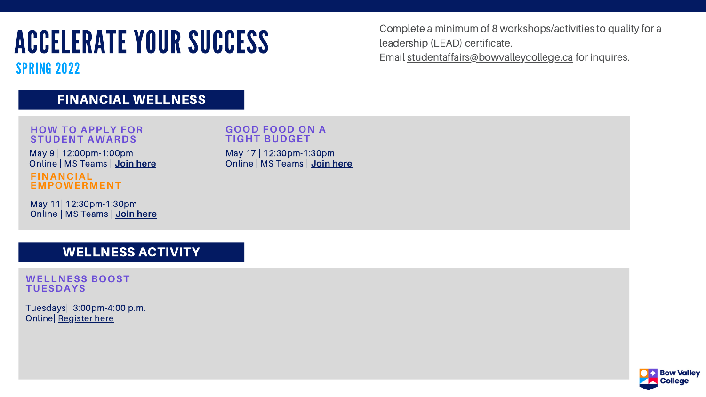SPRING 2022

### FINANCIAL WELLNESS

Complete a minimum of 8 workshops/activities to quality for a leadership (LEAD) certificate. Email s[tudentaffairs@bowvalleycollege.ca](http://bowvalleycollege.ca/) for inquires.

May 11| 12:30pm-1:30pm Online | MS Teams | **Join [here](https://bowvalley-my.sharepoint.com/personal/afusarosmith_bowvalleycollege_ca/Documents/Desktop/MS%20Form%20registration:%20https:/forms.office.com/r/ZSX2QCZRuR)**

**FINANCIAL EMPOWERMENT** May 9 | 12:00pm-1:00pm Online | MS Teams | **Join [here](https://teams.microsoft.com/l/meetup-join/19%3ameeting_NTRjMGRiZjgtMTcwMy00NTljLTgyNzEtZDhiOWE4MzFmNDAy%40thread.v2/0?context=%7b%22Tid%22%3a%228f11c6f4-648e-4c0c-bb99-96e8408a8e2a%22%2c%22Oid%22%3a%2256b7c3c6-585f-4be0-9d31-b2f0afdc0959%22%7d)**

### **HOW TO APPLY FOR STUDENT AWARDS**

May 17 | 12:30pm-1:30pm Online | MS Teams | **Join [here](https://forms.office.com/r/JcvSv1ysaS)**

### **GOOD FOOD ON A TIGHT BUDGET**

### WELLNESS ACTIVITY

### **WELLNESS BOOST TUESDAYS**

Tuesdays| 3:00pm-4:00 p.m. Online| [Register](https://forms.office.com/Pages/ResponsePage.aspx?id=9MYRj45kDEy7mZboQIqOKm-WkSo32TRIt3ktevF02_hUOVlCNkRXR0c5U0NEUzFXRUFBMTY4MTJDVy4u) here

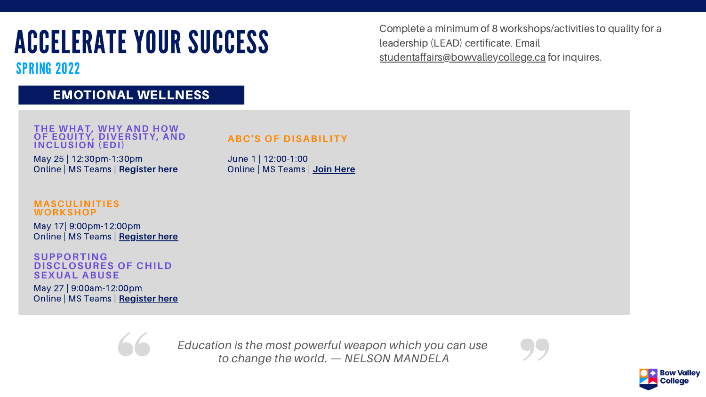Complete a minimum of 8 workshops/activities to quality for a leadership (LEAD) certificate. Email [studentaffairs@bowvalleycollege.ca](http://bowvalleycollege.ca/) for inquires.

SPRING 2022

### EMOTIONAL WELLNESS

May 25 | 12:30pm-1:30pm Online | MS Teams | **Register here**

**THE WHAT, WHY AND HOW OF EQUITY, DIVERSITY, AND INCLUSION (EDI)**

> June 1 | 12:00-1:00 Online | MS Teams | **Join [Here](https://www.cvent.com/d/pkqqfr)**





### **ABC'S OF DISABILITY**

May 17| 9:00pm-12:00pm Online | MS Teams | **[Register](https://bowvalley-my.sharepoint.com/personal/afusarosmith_bowvalleycollege_ca/Documents/Desktop/Registration%20link:%20https:/teams.microsoft.com/registration/9MYRj45kDEy7mZboQIqOKg,OcWkYj8-K0ytNZU_5ojf7g,-L5-db9dEker4AX95N73lg,3PEltTIwvUGKZXAK_0Hpkw,KflhQKPQRk6nWCeInyBEMw,Kp3MMZN-0ki2ycNmJ6pSew?mode=read&tenantId=8f11c6f4-648e-4c0c-bb99-96e8408a8e2a) here**

### **MASCULINITIES WORKSHOP**

May 27 | 9:00am-12:00pm Online | MS Teams | **[Register](https://forms.office.com/r/fvX3MgTfE9) here**



### **SUPPORTING DISCLOSURES OF CHILD SEXUAL ABUSE**

*Education is the most powerful weapon which you can use to change the world. — NELSON MANDELA*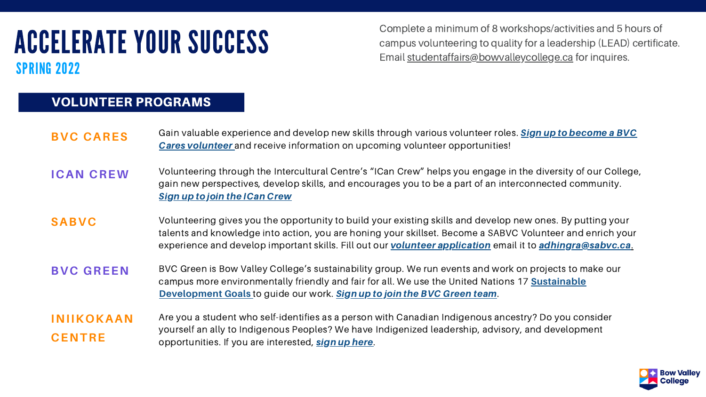## ACCELERATE YOUR SUCCESS SPRING 2022

| <b>BVC CARES</b>                   | Gain valuable experience and develop new skills through variou<br><b>Cares volunteer</b> and receive information on upcoming voluntee                                                                            |
|------------------------------------|------------------------------------------------------------------------------------------------------------------------------------------------------------------------------------------------------------------|
| <b>ICAN CREW</b>                   | Volunteering through the Intercultural Centre's "ICan Crew" help<br>gain new perspectives, develop skills, and encourages you to be<br><b>Sign up to join the ICan Crew</b>                                      |
| <b>SABVC</b>                       | Volunteering gives you the opportunity to build your existing sk<br>talents and knowledge into action, you are honing your skillset.<br>experience and develop important skills. Fill out our <b>volunteer a</b> |
| <b>BVC GREEN</b>                   | BVC Green is Bow Valley College's sustainability group. We run<br>campus more environmentally friendly and fair for all. We use the<br><b>Development Goals</b> to guide our work. Sign up to join the BVC       |
| <b>INIIKOKAAN</b><br><b>CENTRE</b> | Are you a student who self-identifies as a person with Canadian<br>yourself an ally to Indigenous Peoples? We have Indigenized lea<br>opportunities. If you are interested, sign up here.                        |

is volunteer roles. Sign up to become a BVC **Cares voluntes** information on

ps you engage in the diversity of our College, e a part of an interconnected community.

**Saab Seabs** volutions and develop new ones. By putting your Become a SABVC Volunteer and enrich your pplication email it to [adhingra@sabvc.ca](mailto:adhingra@sabvc.ca).

**BUCA BUCA BIGCAL BUCA** BOW BOW AND FOR EVENTS And work on projects to make our e United Nations 17 **Sustainable Green team.** 

Indigenous ancestry? Do you consider adership, advisory, and development



### VOLUNTEER PROGRAMS

Complete a minimum of 8 workshops/activities and 5 hours of campus volunteering to quality for a leadership (LEAD) certificate. Email s[tudentaffairs@bowvalleycollege.ca](http://bowvalleycollege.ca/) for inquires.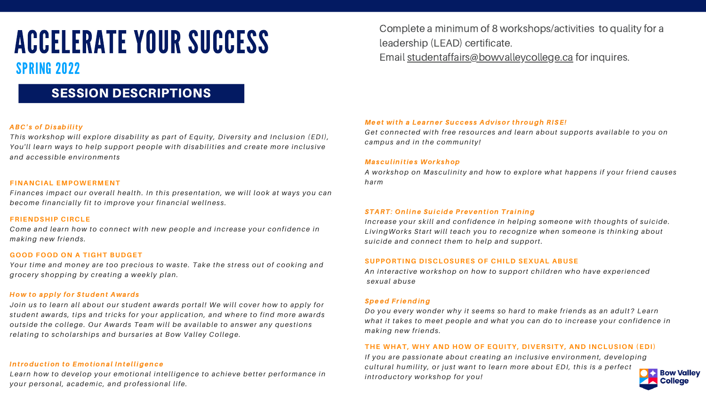## SPRING 2022

SESSION DESCRIPTIONS

### ABC's of Disability

*Thi s workshop will explore di sability as part of Equity, Diver s ity and Inclus ion (EDI), You'll learn ways to help support people with di sabilities and create more inclus ive and acces s ible environment s*

### **FINANCIAL EMPOWERMENT**

*Finances impact our overall health. In thi s presentation, we will look at ways you can become financially fit to improve your financial wellnes s .*

### **FRIENDSHIP CIRCLE**

*Come and learn how to connect with new people and increase your confidence in making new friends .*

### **GOOD FOOD ON A TIGHT BUDGET**

*Your time and money are too precious to was te. Take the s tres s out of cooking and grocery shopping by creating a weekly plan.*

### How to apply for Student Awards

*Join us to learn all about our s tudent awards portal! We will cover how to apply for s tudent awards , tips and tricks for your application, and where to find more awards out s ide the college. Our Awards Team will be available to answer any ques tions relating to scholar ships and bur saries at Bow Valley College.*

### Introduction to Emotional Intelligence

*Learn how to develop your emotional intelligence to achieve better performance in your per sonal, academic, and profes s ional life.*

Complete a minimum of 8 workshops/activities to quality for a leadership (LEAD) certificate.

Email s[tudentaffairs@bowvalleycollege.ca](http://bowvalleycollege.ca/) for inquires.

Meet with a Learner Success Advisor through [RISE](https://bowvalleycollege.ca/student-resources/student-life/rise-program)! *Get connected with free resources and learn about support s available to you on campus and in the community!*

Masculinities Workshop *harm*

*A workshop on Masculinity and how to explore what happens if your friend causes*

### START: Online Suicide Prevention Training

*Increase your skill and confidence in helping someone with thought s of suicide. LivingWorks Start will teach you to recogni ze when someone i s thinking about suicide and connect them to help and support.*

### **SUPPORTING DISCLOSURES OF CHILD SEXUAL ABUSE**

*An interactive workshop on how to support children who have experienced*



*sexual abuse*

### Speed Friending

*Do you every wonder why it seems so hard to make friends as an adult? Learn what it takes to meet people and what you can do to increase your confidence in making new friends .*

### **THE WHAT, WHY AND HOW OF EQUITY, DIVERSITY, AND INCLUSION (EDI)**

*If you are pas s ionate about creating an inclus ive environment, developing cultural humility, or jus t want to learn more about EDI, thi s i s a perfect introductory workshop for you!*